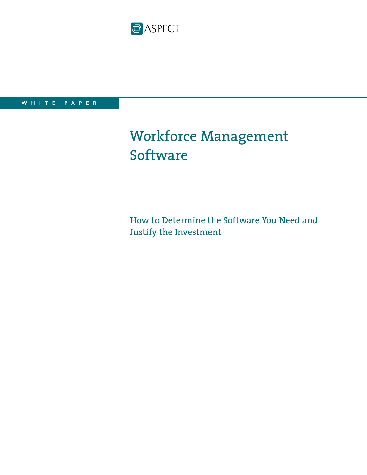



# Workforce Management **Software**

How to Determine the Software You Need and Justify the Investment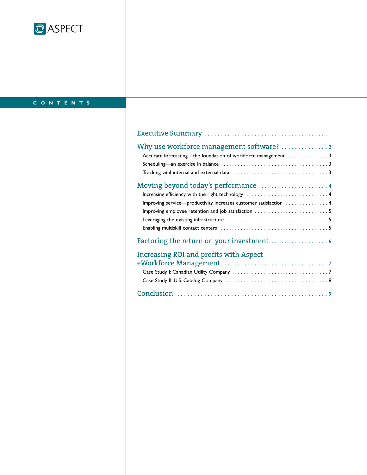

## **CONTENTS**

| Why use workforce management software? 2                          |
|-------------------------------------------------------------------|
| Accurate forecasting-the foundation of workforce management 3     |
|                                                                   |
|                                                                   |
|                                                                   |
| Increasing efficiency with the right technology  4                |
| Improving service-productivity increases customer satisfaction  4 |
|                                                                   |
|                                                                   |
|                                                                   |
|                                                                   |
| Increasing ROI and profits with Aspect                            |
|                                                                   |
|                                                                   |
|                                                                   |
|                                                                   |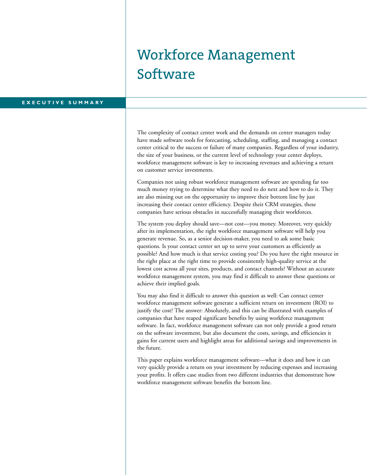# Workforce Management Software

### **EXECUTIVE SUMMARY**

The complexity of contact center work and the demands on center managers today have made software tools for forecasting, scheduling, staffing, and managing a contact center critical to the success or failure of many companies. Regardless of your industry, the size of your business, or the current level of technology your center deploys, workforce management software is key to increasing revenues and achieving a return on customer service investments.

Companies not using robust workforce management software are spending far too much money trying to determine what they need to do next and how to do it. They are also missing out on the opportunity to improve their bottom line by just increasing their contact center efficiency. Despite their CRM strategies, these companies have serious obstacles in successfully managing their workforces.

The system you deploy should save—not cost—you money. Moreover, very quickly after its implementation, the right workforce management software will help you generate revenue. So, as a senior decision-maker, you need to ask some basic questions. Is your contact center set up to serve your customers as efficiently as possible? And how much is that service costing you? Do you have the right resource in the right place at the right time to provide consistently high-quality service at the lowest cost across all your sites, products, and contact channels? Without an accurate workforce management system, you may find it difficult to answer these questions or achieve their implied goals.

You may also find it difficult to answer this question as well: Can contact center workforce management software generate a sufficient return on investment (ROI) to justify the cost? The answer: Absolutely, and this can be illustrated with examples of companies that have reaped significant benefits by using workforce management software. In fact, workforce management software can not only provide a good return on the software investment, but also document the costs, savings, and efficiencies it gains for current users and highlight areas for additional savings and improvements in the future.

This paper explains workforce management software—what it does and how it can very quickly provide a return on your investment by reducing expenses and increasing your profits. It offers case studies from two different industries that demonstrate how workforce management software benefits the bottom line.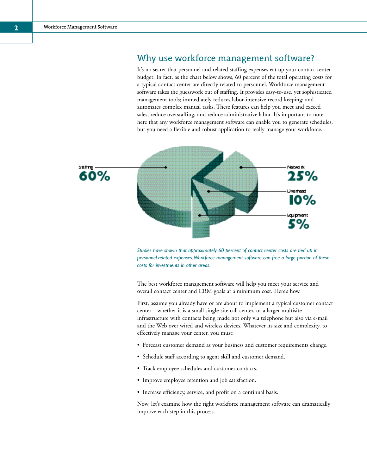## Why use workforce management software?

It's no secret that personnel and related staffing expenses eat up your contact center budget. In fact, as the chart below shows, 60 percent of the total operating costs for a typical contact center are directly related to personnel. Workforce management software takes the guesswork out of staffing. It provides easy-to-use, yet sophisticated management tools; immediately reduces labor-intensive record keeping; and automates complex manual tasks. These features can help you meet and exceed sales, reduce overstaffing, and reduce administrative labor. It's important to note here that any workforce management software can enable you to generate schedules, but you need a flexible and robust application to really manage your workforce.



*Studies have shown that approximately 60 percent of contact center costs are tied up in personnel-related expenses.Workforce management software can free a large portion of these costs for investments in other areas.*

The best workforce management software will help you meet your service and overall contact center and CRM goals at a minimum cost. Here's how.

First, assume you already have or are about to implement a typical customer contact center—whether it is a small single-site call center, or a larger multisite infrastructure with contacts being made not only via telephone but also via e-mail and the Web over wired and wireless devices. Whatever its size and complexity, to effectively manage your center, you must:

- Forecast customer demand as your business and customer requirements change.
- Schedule staff according to agent skill and customer demand.
- Track employee schedules and customer contacts.
- Improve employee retention and job satisfaction.
- Increase efficiency, service, and profit on a continual basis.

Now, let's examine how the right workforce management software can dramatically improve each step in this process.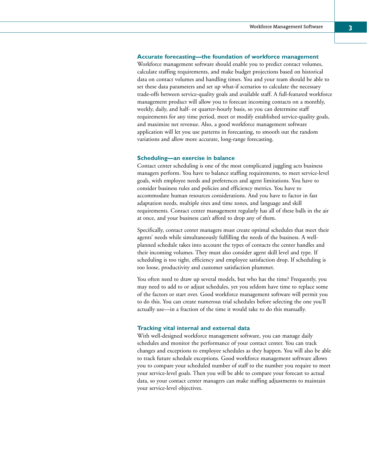#### **Accurate forecasting—the foundation of workforce management**

Workforce management software should enable you to predict contact volumes, calculate staffing requirements, and make budget projections based on historical data on contact volumes and handling times. You and your team should be able to set these data parameters and set up what-if scenarios to calculate the necessary trade-offs between service-quality goals and available staff. A full-featured workforce management product will allow you to forecast incoming contacts on a monthly, weekly, daily, and half- or quarter-hourly basis, so you can determine staff requirements for any time period, meet or modify established service-quality goals, and maximize net revenue. Also, a good workforce management software application will let you use patterns in forecasting, to smooth out the random variations and allow more accurate, long-range forecasting.

#### **Scheduling—an exercise in balance**

Contact center scheduling is one of the most complicated juggling acts business managers perform. You have to balance staffing requirements, to meet service-level goals, with employee needs and preferences and agent limitations. You have to consider business rules and policies and efficiency metrics. You have to accommodate human resources considerations. And you have to factor in fast adaptation needs, multiple sites and time zones, and language and skill requirements. Contact center management regularly has all of these balls in the air at once, and your business can't afford to drop any of them.

Specifically, contact center managers must create optimal schedules that meet their agents' needs while simultaneously fulfilling the needs of the business. A wellplanned schedule takes into account the types of contacts the center handles and their incoming volumes. They must also consider agent skill level and type. If scheduling is too tight, efficiency and employee satisfaction drop. If scheduling is too loose, productivity and customer satisfaction plummet.

You often need to draw up several models, but who has the time? Frequently, you may need to add to or adjust schedules, yet you seldom have time to replace some of the factors or start over. Good workforce management software will permit you to do this. You can create numerous trial schedules before selecting the one you'll actually use—in a fraction of the time it would take to do this manually.

#### **Tracking vital internal and external data**

With well-designed workforce management software, you can manage daily schedules and monitor the performance of your contact center. You can track changes and exceptions to employee schedules as they happen. You will also be able to track future schedule exceptions. Good workforce management software allows you to compare your scheduled number of staff to the number you require to meet your service-level goals. Then you will be able to compare your forecast to actual data, so your contact center managers can make staffing adjustments to maintain your service-level objectives.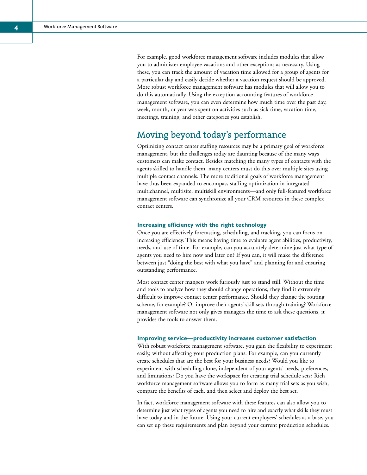For example, good workforce management software includes modules that allow you to administer employee vacations and other exceptions as necessary. Using these, you can track the amount of vacation time allowed for a group of agents for a particular day and easily decide whether a vacation request should be approved. More robust workforce management software has modules that will allow you to do this automatically. Using the exception-accounting features of workforce management software, you can even determine how much time over the past day, week, month, or year was spent on activities such as sick time, vacation time, meetings, training, and other categories you establish.

## Moving beyond today's performance

Optimizing contact center staffing resources may be a primary goal of workforce management, but the challenges today are daunting because of the many ways customers can make contact. Besides matching the many types of contacts with the agents skilled to handle them, many centers must do this over multiple sites using multiple contact channels. The more traditional goals of workforce management have thus been expanded to encompass staffing optimization in integrated multichannel, multisite, multiskill environments—and only full-featured workforce management software can synchronize all your CRM resources in these complex contact centers.

#### **Increasing efficiency with the right technology**

Once you are effectively forecasting, scheduling, and tracking, you can focus on increasing efficiency. This means having time to evaluate agent abilities, productivity, needs, and use of time. For example, can you accurately determine just what type of agents you need to hire now and later on? If you can, it will make the difference between just "doing the best with what you have" and planning for and ensuring outstanding performance.

Most contact center mangers work furiously just to stand still. Without the time and tools to analyze how they should change operations, they find it extremely difficult to improve contact center performance. Should they change the routing scheme, for example? Or improve their agents' skill sets through training? Workforce management software not only gives managers the time to ask these questions, it provides the tools to answer them.

#### **Improving service—productivity increases customer satisfaction**

With robust workforce management software, you gain the flexibility to experiment easily, without affecting your production plans. For example, can you currently create schedules that are the best for your business needs? Would you like to experiment with scheduling alone, independent of your agents' needs, preferences, and limitations? Do you have the workspace for creating trial schedule sets? Rich workforce management software allows you to form as many trial sets as you wish, compare the benefits of each, and then select and deploy the best set.

In fact, workforce management software with these features can also allow you to determine just what types of agents you need to hire and exactly what skills they must have today and in the future. Using your current employees' schedules as a base, you can set up these requirements and plan beyond your current production schedules.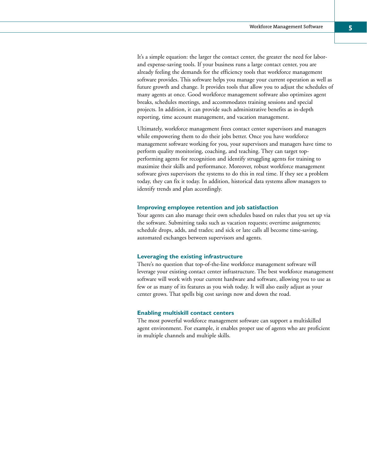It's a simple equation: the larger the contact center, the greater the need for laborand expense-saving tools. If your business runs a large contact center, you are already feeling the demands for the efficiency tools that workforce management software provides. This software helps you manage your current operation as well as future growth and change. It provides tools that allow you to adjust the schedules of many agents at once. Good workforce management software also optimizes agent breaks, schedules meetings, and accommodates training sessions and special projects. In addition, it can provide such administrative benefits as in-depth reporting, time account management, and vacation management.

Ultimately, workforce management frees contact center supervisors and managers while empowering them to do their jobs better. Once you have workforce management software working for you, your supervisors and managers have time to perform quality monitoring, coaching, and teaching. They can target topperforming agents for recognition and identify struggling agents for training to maximize their skills and performance. Moreover, robust workforce management software gives supervisors the systems to do this in real time. If they see a problem today, they can fix it today. In addition, historical data systems allow managers to identify trends and plan accordingly.

#### **Improving employee retention and job satisfaction**

Your agents can also manage their own schedules based on rules that you set up via the software. Submitting tasks such as vacation requests; overtime assignments; schedule drops, adds, and trades; and sick or late calls all become time-saving, automated exchanges between supervisors and agents.

#### **Leveraging the existing infrastructure**

There's no question that top-of-the-line workforce management software will leverage your existing contact center infrastructure. The best workforce management software will work with your current hardware and software, allowing you to use as few or as many of its features as you wish today. It will also easily adjust as your center grows. That spells big cost savings now and down the road.

#### **Enabling multiskill contact centers**

The most powerful workforce management software can support a multiskilled agent environment. For example, it enables proper use of agents who are proficient in multiple channels and multiple skills.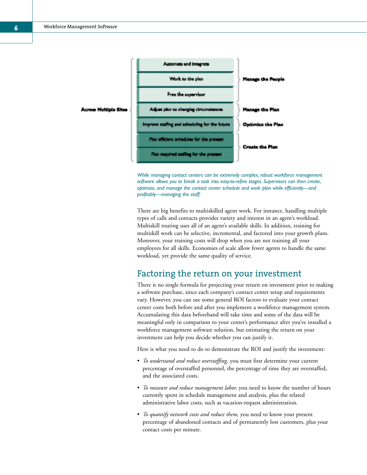



*While managing contact centers can be extremely complex, robust workforce management software allows you to break a task into easy-to-refine stages. Supervisors can then create, optimize, and manage the contact center schedule and work plan while efficiently—and profitably—managing the staff.*

There are big benefits to multiskilled agent work. For instance, handling multiple types of calls and contacts provides variety and interest in an agent's workload. Multiskill routing uses all of an agent's available skills. In addition, training for multiskill work can be selective, incremental, and factored into your growth plans. Moreover, your training costs will drop when you are not training all your employees for all skills. Economies of scale allow fewer agents to handle the same workload, yet provide the same quality of service.

## Factoring the return on your investment

There is no single formula for projecting your return on investment prior to making a software purchase, since each company's contact center setup and requirements vary. However, you can use some general ROI factors to evaluate your contact center costs both before and after you implement a workforce management system. Accumulating this data beforehand will take time and some of the data will be meaningful only in comparison to your center's performance after you've installed a workforce management software solution, but estimating the return on your investment can help you decide whether you can justify it.

Here is what you need to do to demonstrate the ROI and justify the investment:

- *To understand and reduce overstaffing,* you must first determine your current percentage of overstaffed personnel, the percentage of time they are overstaffed, and the associated costs.
- *To measure and reduce management labor,* you need to know the number of hours currently spent in schedule management and analysis, plus the related administrative labor costs, such as vacation-request administration.
- *To quantify network costs and reduce them,* you need to know your present percentage of abandoned contacts and of permanently lost customers, plus your contact costs per minute.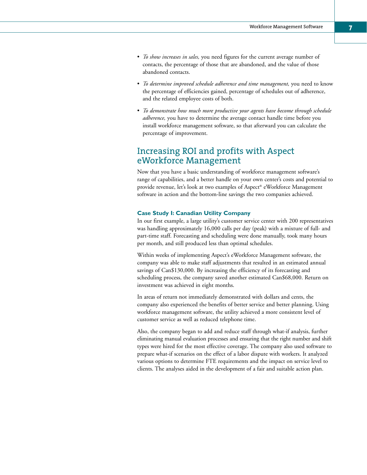- *To show increases in sales,* you need figures for the current average number of contacts, the percentage of those that are abandoned, and the value of those abandoned contacts.
- *To determine improved schedule adherence and time management,* you need to know the percentage of efficiencies gained, percentage of schedules out of adherence, and the related employee costs of both.
- *To demonstrate how much more productive your agents have become through schedule adherence,* you have to determine the average contact handle time before you install workforce management software, so that afterward you can calculate the percentage of improvement.

## Increasing ROI and profits with Aspect eWorkforce Management

Now that you have a basic understanding of workforce management software's range of capabilities, and a better handle on your own center's costs and potential to provide revenue, let's look at two examples of Aspect® eWorkforce Management software in action and the bottom-line savings the two companies achieved.

#### **Case Study I: Canadian Utility Company**

In our first example, a large utility's customer service center with 200 representatives was handling approximately 16,000 calls per day (peak) with a mixture of full- and part-time staff. Forecasting and scheduling were done manually, took many hours per month, and still produced less than optimal schedules.

Within weeks of implementing Aspect's eWorkforce Management software, the company was able to make staff adjustments that resulted in an estimated annual savings of Can\$130,000. By increasing the efficiency of its forecasting and scheduling process, the company saved another estimated Can\$68,000. Return on investment was achieved in eight months.

In areas of return not immediately demonstrated with dollars and cents, the company also experienced the benefits of better service and better planning. Using workforce management software, the utility achieved a more consistent level of customer service as well as reduced telephone time.

Also, the company began to add and reduce staff through what-if analysis, further eliminating manual evaluation processes and ensuring that the right number and shift types were hired for the most effective coverage. The company also used software to prepare what-if scenarios on the effect of a labor dispute with workers. It analyzed various options to determine FTE requirements and the impact on service level to clients. The analyses aided in the development of a fair and suitable action plan.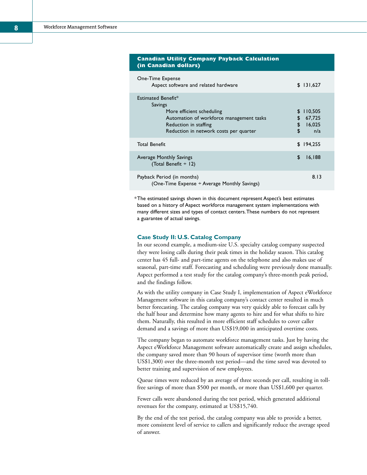| (in Canadian dollars)                                                                                                                                                     |                 |                                    |  |
|---------------------------------------------------------------------------------------------------------------------------------------------------------------------------|-----------------|------------------------------------|--|
| One-Time Expense<br>Aspect software and related hardware                                                                                                                  |                 | \$131,627                          |  |
| Estimated Benefit*<br>Savings<br>More efficient scheduling<br>Automation of workforce management tasks<br>Reduction in staffing<br>Reduction in network costs per quarter | \$.<br>\$<br>\$ | 110,505<br>67,725<br>16,025<br>n/a |  |
| <b>Total Benefit</b>                                                                                                                                                      |                 | \$194,255                          |  |
| Average Monthly Savings<br>(Total Benefit ÷ 12)                                                                                                                           | \$              | 16,188                             |  |
| Payback Period (in months)<br>(One-Time Expense $\div$ Average Monthly Savings)                                                                                           |                 | 8.13                               |  |

**Canadian Utility Company Payback Calculation** 

 $^\mathrm{*}$ The estimated savings shown in this document represent Aspect's best estimates based on a history of Aspect workforce management system implementations with many different sizes and types of contact centers.These numbers do not represent a guarantee of actual savings.

#### **Case Study II: U.S. Catalog Company**

In our second example, a medium-size U.S. specialty catalog company suspected they were losing calls during their peak times in the holiday season. This catalog center has 45 full- and part-time agents on the telephone and also makes use of seasonal, part-time staff. Forecasting and scheduling were previously done manually. Aspect performed a test study for the catalog company's three-month peak period, and the findings follow.

As with the utility company in Case Study I, implementation of Aspect eWorkforce Management software in this catalog company's contact center resulted in much better forecasting. The catalog company was very quickly able to forecast calls by the half hour and determine how many agents to hire and for what shifts to hire them. Naturally, this resulted in more efficient staff schedules to cover caller demand and a savings of more than US\$19,000 in anticipated overtime costs.

The company began to automate workforce management tasks. Just by having the Aspect eWorkforce Management software automatically create and assign schedules, the company saved more than 90 hours of supervisor time (worth more than US\$1,300) over the three-month test period—and the time saved was devoted to better training and supervision of new employees.

Queue times were reduced by an average of three seconds per call, resulting in tollfree savings of more than \$500 per month, or more than US\$1,600 per quarter.

Fewer calls were abandoned during the test period, which generated additional revenues for the company, estimated at US\$15,740.

By the end of the test period, the catalog company was able to provide a better, more consistent level of service to callers and significantly reduce the average speed of answer.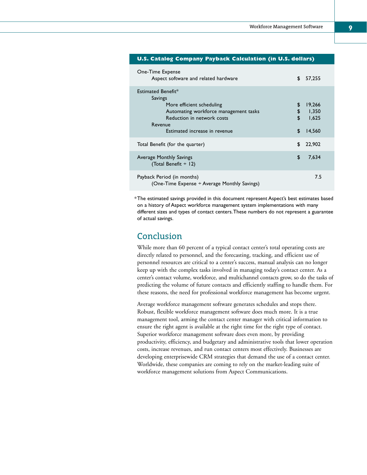#### **U.S. Catalog Company Payback Calculation (in U.S. dollars)**

| One-Time Expense<br>Aspect software and related hardware                                                                                     | \$                   | 57,255                             |
|----------------------------------------------------------------------------------------------------------------------------------------------|----------------------|------------------------------------|
| Estimated Benefit*<br>Savings                                                                                                                |                      |                                    |
| More efficient scheduling<br>Automating workforce management tasks<br>Reduction in network costs<br>Revenue<br>Estimated increase in revenue | \$<br>\$<br>\$<br>\$ | 19,266<br>1,350<br>1,625<br>14,560 |
| Total Benefit (for the quarter)                                                                                                              | \$                   | 22,902                             |
| Average Monthly Savings<br>(Total Benefit ÷ 12)                                                                                              | \$                   | 7,634                              |
| Payback Period (in months)<br>(One-Time Expense ÷ Average Monthly Savings)                                                                   |                      | 7.5                                |

 $^\ast$ The estimated savings provided in this document represent Aspect's best estimates based on a history of Aspect workforce management system implementations with many different sizes and types of contact centers.These numbers do not represent a guarantee of actual savings.

## Conclusion

While more than 60 percent of a typical contact center's total operating costs are directly related to personnel, and the forecasting, tracking, and efficient use of personnel resources are critical to a center's success, manual analysis can no longer keep up with the complex tasks involved in managing today's contact center. As a center's contact volume, workforce, and multichannel contacts grow, so do the tasks of predicting the volume of future contacts and efficiently staffing to handle them. For these reasons, the need for professional workforce management has become urgent.

Average workforce management software generates schedules and stops there. Robust, flexible workforce management software does much more. It is a true management tool, arming the contact center manager with critical information to ensure the right agent is available at the right time for the right type of contact. Superior workforce management software does even more, by providing productivity, efficiency, and budgetary and administrative tools that lower operation costs, increase revenues, and run contact centers most effectively. Businesses are developing enterprisewide CRM strategies that demand the use of a contact center. Worldwide, these companies are coming to rely on the market-leading suite of workforce management solutions from Aspect Communications.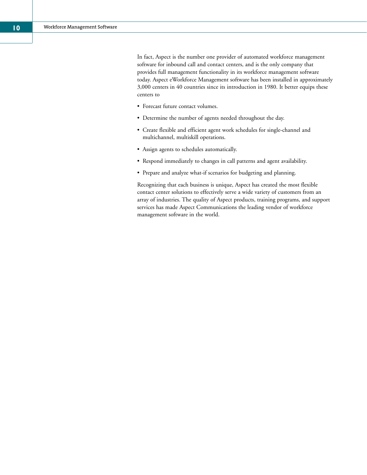In fact, Aspect is the number one provider of automated workforce management software for inbound call and contact centers, and is the only company that provides full management functionality in its workforce management software today. Aspect eWorkforce Management software has been installed in approximately 3,000 centers in 40 countries since its introduction in 1980. It better equips these centers to

- Forecast future contact volumes.
- Determine the number of agents needed throughout the day.
- Create flexible and efficient agent work schedules for single-channel and multichannel, multiskill operations.
- Assign agents to schedules automatically.
- Respond immediately to changes in call patterns and agent availability.
- Prepare and analyze what-if scenarios for budgeting and planning.

Recognizing that each business is unique, Aspect has created the most flexible contact center solutions to effectively serve a wide variety of customers from an array of industries. The quality of Aspect products, training programs, and support services has made Aspect Communications the leading vendor of workforce management software in the world.